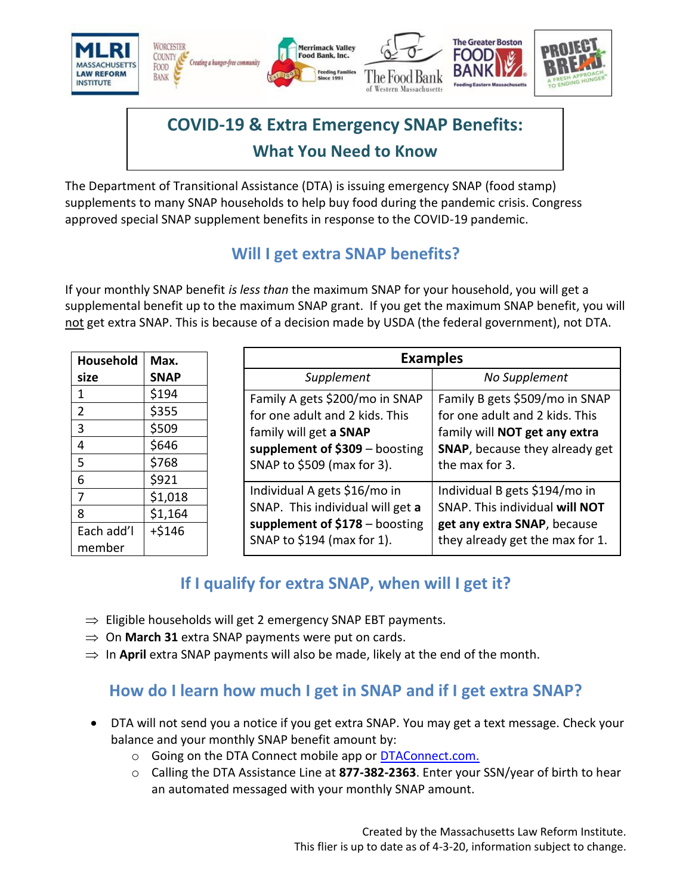

# **COVID-19 & Extra Emergency SNAP Benefits: What You Need to Know**

The Department of Transitional Assistance (DTA) is issuing emergency SNAP (food stamp) supplements to many SNAP households to help buy food during the pandemic crisis. Congress approved special SNAP supplement benefits in response to the COVID-19 pandemic.

# **Will I get extra SNAP benefits?**

If your monthly SNAP benefit *is less than* the maximum SNAP for your household, you will get a supplemental benefit up to the maximum SNAP grant. If you get the maximum SNAP benefit, you will not get extra SNAP. This is because of a decision made by USDA (the federal government), not DTA.

| Household            | Max.        | <b>Examples</b>                                                                                                                                                                     |
|----------------------|-------------|-------------------------------------------------------------------------------------------------------------------------------------------------------------------------------------|
| size                 | <b>SNAP</b> | No Supplement<br>Supplement                                                                                                                                                         |
| 1                    | \$194       | Family A gets \$200/mo in SNAP<br>Family B gets \$509/mo in SNAP                                                                                                                    |
| 2                    | \$355       | for one adult and 2 kids. This<br>for one adult and 2 kids. This                                                                                                                    |
| 3                    | \$509       | family will get a SNAP<br>family will NOT get any extra<br>supplement of $$309 - boosting$<br><b>SNAP, because they already get</b><br>SNAP to \$509 (max for 3).<br>the max for 3. |
| 4                    | \$646       |                                                                                                                                                                                     |
| 5                    | \$768       |                                                                                                                                                                                     |
| 6                    | \$921       |                                                                                                                                                                                     |
|                      | \$1,018     | Individual A gets \$16/mo in<br>Individual B gets \$194/mo in                                                                                                                       |
| 8                    | \$1,164     | SNAP. This individual will get a<br>SNAP. This individual will NOT                                                                                                                  |
| Each add'l<br>member | $+ $146$    | supplement of $$178 - boosting$<br>get any extra SNAP, because<br>SNAP to \$194 (max for 1).<br>they already get the max for 1.                                                     |

# **If I qualify for extra SNAP, when will I get it?**

- $\Rightarrow$  Eligible households will get 2 emergency SNAP EBT payments.
- $\Rightarrow$  On **March 31** extra SNAP payments were put on cards.
- $\Rightarrow$  In **April** extra SNAP payments will also be made, likely at the end of the month.

### **How do I learn how much I get in SNAP and if I get extra SNAP?**

- DTA will not send you a notice if you get extra SNAP. You may get a text message. Check your balance and your monthly SNAP benefit amount by:
	- o Going on the DTA Connect mobile app or [DTAConnect.com.](http://www.dtaconnect.com/)
	- o Calling the DTA Assistance Line at **877-382-2363**. Enter your SSN/year of birth to hear an automated messaged with your monthly SNAP amount.